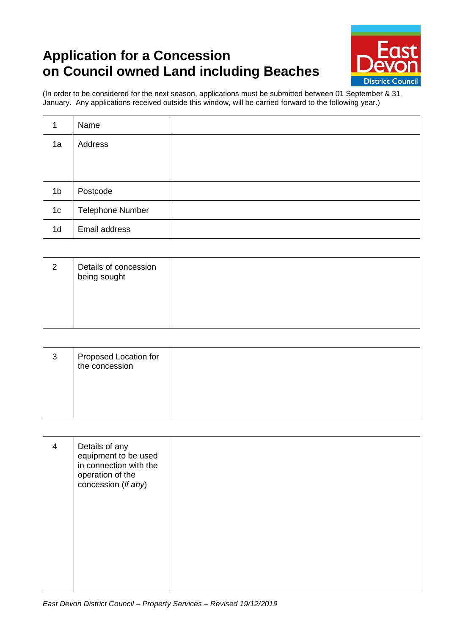## **Application for a Concession on Council owned Land including Beaches**



(In order to be considered for the next season, applications must be submitted between 01 September & 31 January. Any applications received outside this window, will be carried forward to the following year.)

| 1              | Name                    |  |
|----------------|-------------------------|--|
| 1a             | Address                 |  |
|                |                         |  |
|                |                         |  |
| 1 <sub>b</sub> | Postcode                |  |
| 1 <sub>c</sub> | <b>Telephone Number</b> |  |
| 1 <sub>d</sub> | Email address           |  |

| 2 | Details of concession<br>being sought |  |
|---|---------------------------------------|--|
|   |                                       |  |

| 3 | Proposed Location for<br>the concession |  |
|---|-----------------------------------------|--|
|   |                                         |  |

| Details of any<br>$\overline{4}$<br>equipment to be used<br>in connection with the<br>operation of the<br>concession (if any) |  |
|-------------------------------------------------------------------------------------------------------------------------------|--|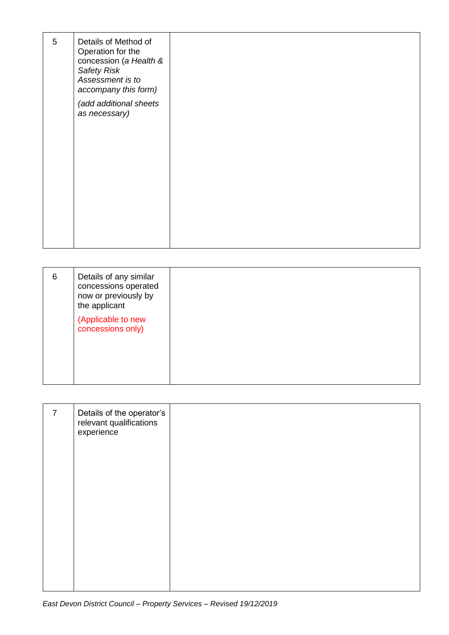| 5 | Details of Method of<br>Operation for the<br>concession (a Health &<br><b>Safety Risk</b><br>Assessment is to<br>accompany this form)<br>(add additional sheets<br>as necessary) |  |
|---|----------------------------------------------------------------------------------------------------------------------------------------------------------------------------------|--|
|   |                                                                                                                                                                                  |  |

| 6 | Details of any similar<br>concessions operated<br>now or previously by<br>the applicant |  |
|---|-----------------------------------------------------------------------------------------|--|
|   | (Applicable to new<br>concessions only)                                                 |  |

| $\overline{7}$ | Details of the operator's<br>relevant qualifications<br>experience |  |
|----------------|--------------------------------------------------------------------|--|
|                |                                                                    |  |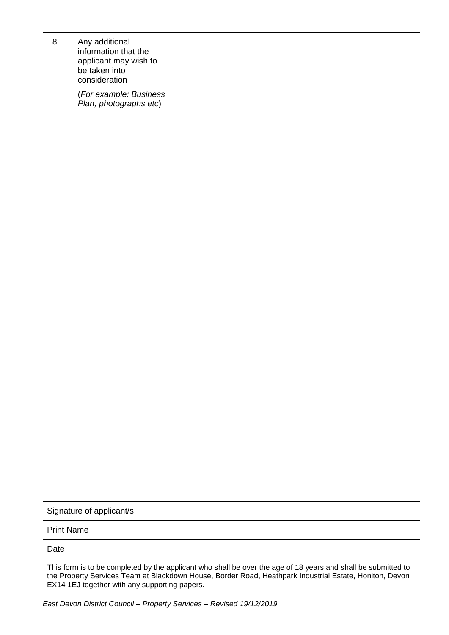| $\, 8$                                                                                                                                                                                                                   | Any additional<br>information that the<br>applicant may wish to<br>be taken into<br>consideration<br>(For example: Business<br>Plan, photographs etc) |  |
|--------------------------------------------------------------------------------------------------------------------------------------------------------------------------------------------------------------------------|-------------------------------------------------------------------------------------------------------------------------------------------------------|--|
|                                                                                                                                                                                                                          |                                                                                                                                                       |  |
|                                                                                                                                                                                                                          |                                                                                                                                                       |  |
| Signature of applicant/s                                                                                                                                                                                                 |                                                                                                                                                       |  |
| <b>Print Name</b>                                                                                                                                                                                                        |                                                                                                                                                       |  |
|                                                                                                                                                                                                                          |                                                                                                                                                       |  |
| Date                                                                                                                                                                                                                     |                                                                                                                                                       |  |
| This form is to be completed by the applicant who shall be over the age of 18 years and shall be submitted to<br>the Property Services Team at Blackdown House, Border Road, Heathpark Industrial Estate, Honiton, Devon |                                                                                                                                                       |  |

EX14 1EJ together with any supporting papers.